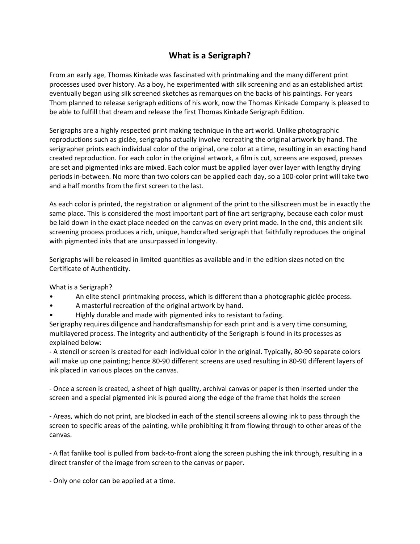## **What is a Serigraph?**

From an early age, Thomas Kinkade was fascinated with printmaking and the many different print processes used over history. As a boy, he experimented with silk screening and as an established artist eventually began using silk screened sketches as remarques on the backs of his paintings. For years Thom planned to release serigraph editions of his work, now the Thomas Kinkade Company is pleased to be able to fulfill that dream and release the first Thomas Kinkade Serigraph Edition.

Serigraphs are a highly respected print making technique in the art world. Unlike photographic reproductions such as giclée, serigraphs actually involve recreating the original artwork by hand. The serigrapher prints each individual color of the original, one color at a time, resulting in an exacting hand created reproduction. For each color in the original artwork, a film is cut, screens are exposed, presses are set and pigmented inks are mixed. Each color must be applied layer over layer with lengthy drying periods in‐between. No more than two colors can be applied each day, so a 100‐color print will take two and a half months from the first screen to the last.

As each color is printed, the registration or alignment of the print to the silkscreen must be in exactly the same place. This is considered the most important part of fine art serigraphy, because each color must be laid down in the exact place needed on the canvas on every print made. In the end, this ancient silk screening process produces a rich, unique, handcrafted serigraph that faithfully reproduces the original with pigmented inks that are unsurpassed in longevity.

Serigraphs will be released in limited quantities as available and in the edition sizes noted on the Certificate of Authenticity.

What is a Serigraph?

- An elite stencil printmaking process, which is different than a photographic giclée process.
- A masterful recreation of the original artwork by hand.
- Highly durable and made with pigmented inks to resistant to fading.

Serigraphy requires diligence and handcraftsmanship for each print and is a very time consuming, multilayered process. The integrity and authenticity of the Serigraph is found in its processes as explained below:

‐ A stencil or screen is created for each individual color in the original. Typically, 80‐90 separate colors will make up one painting; hence 80‐90 different screens are used resulting in 80‐90 different layers of ink placed in various places on the canvas.

‐ Once a screen is created, a sheet of high quality, archival canvas or paper is then inserted under the screen and a special pigmented ink is poured along the edge of the frame that holds the screen

‐ Areas, which do not print, are blocked in each of the stencil screens allowing ink to pass through the screen to specific areas of the painting, while prohibiting it from flowing through to other areas of the canvas.

‐ A flat fanlike tool is pulled from back‐to‐front along the screen pushing the ink through, resulting in a direct transfer of the image from screen to the canvas or paper.

‐ Only one color can be applied at a time.